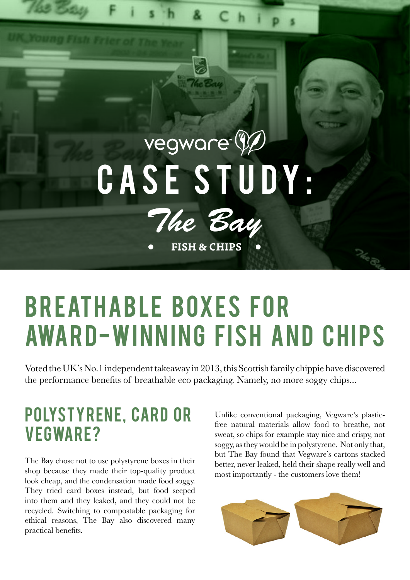# vegware<sup>®</sup> CASE STUDY:



**FISH & CHIPS** 

# **BREATHABLE BOXES FOR** AWARD-WINNING FISH AND CHIPS

Voted the UK's No.1 independent takeaway in 2013, this Scottish family chippie have discovered the performance benefits of breathable eco packaging. Namely, no more soggy chips...

#### POLYSTYRENE, CARD OR **VEGWARE?**

The Bay chose not to use polystyrene boxes in their shop because they made their top-quality product look cheap, and the condensation made food soggy. They tried card boxes instead, but food seeped into them and they leaked, and they could not be recycled. Switching to compostable packaging for ethical reasons, The Bay also discovered many practical benefits.

Unlike conventional packaging, Vegware's plasticfree natural materials allow food to breathe, not sweat, so chips for example stay nice and crispy, not soggy, as they would be in polystyrene. Not only that, but The Bay found that Vegware's cartons stacked better, never leaked, held their shape really well and most importantly - the customers love them!

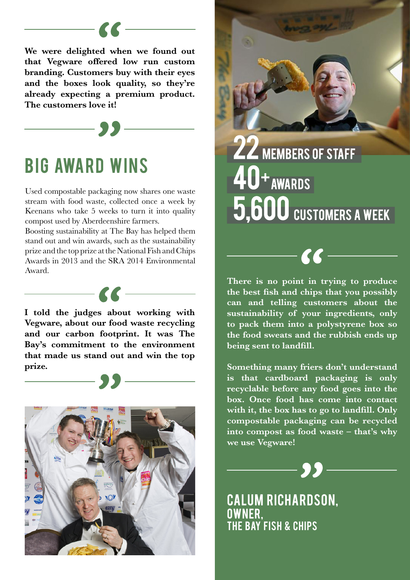**We were delighted when we found out that Vegware offered low run custom branding. Customers buy with their eyes and the boxes look quality, so they're already expecting a premium product. The customers love it!**

 $\overline{\phantom{a}}$ 

### **BIG AWARD WINS**

Used compostable packaging now shares one waste stream with food waste, collected once a week by Keenans who take 5 weeks to turn it into quality compost used by Aberdeenshire farmers.

Boosting sustainability at The Bay has helped them stand out and win awards, such as the sustainability prize and the top prize at the National Fish and Chips Awards in 2013 and the SRA 2014 Environmental Award.

 $-66$ 

**I told the judges about working with Vegware, about our food waste recycling and our carbon footprint. It was The Bay's commitment to the environment that made us stand out and win the top prize.**





**ZZ** MEMBERS OF STAFF 40+ AWARDS 5,600 CUSTOMERS A WEEK

**There is no point in trying to produce the best fish and chips that you possibly can and telling customers about the sustainability of your ingredients, only to pack them into a polystyrene box so the food sweats and the rubbish ends up being sent to landfill.**

 $\epsilon\epsilon$ 

**Something many friers don't understand is that cardboard packaging is only recyclable before any food goes into the box. Once food has come into contact with it, the box has to go to landfill. Only compostable packaging can be recycled into compost as food waste – that's why we use Vegware!**

**CALUM RICHARDSON,** OWNER, **THE BAY FISH & CHIPS**